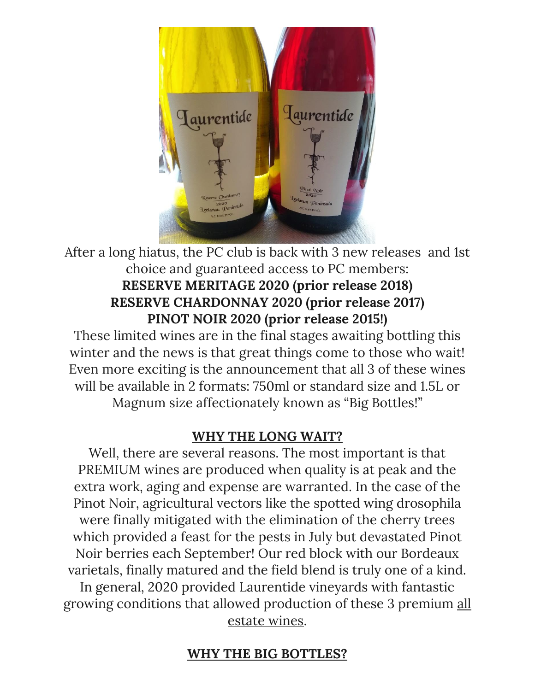

After a long hiatus, the PC club is back with 3 new releases and 1st choice and guaranteed access to PC members: **RESERVE MERITAGE 2020 (prior release 2018) RESERVE CHARDONNAY 2020 (prior release 2017) PINOT NOIR 2020 (prior release 2015!)**

These limited wines are in the final stages awaiting bottling this winter and the news is that great things come to those who wait! Even more exciting is the announcement that all 3 of these wines will be available in 2 formats: 750ml or standard size and 1.5L or Magnum size affectionately known as "Big Bottles!"

# **WHY THE LONG WAIT?**

Well, there are several reasons. The most important is that PREMIUM wines are produced when quality is at peak and the extra work, aging and expense are warranted. In the case of the Pinot Noir, agricultural vectors like the spotted wing drosophila were finally mitigated with the elimination of the cherry trees which provided a feast for the pests in July but devastated Pinot Noir berries each September! Our red block with our Bordeaux varietals, finally matured and the field blend is truly one of a kind. In general, 2020 provided Laurentide vineyards with fantastic growing conditions that allowed production of these 3 premium all estate wines.

# **WHY THE BIG BOTTLES?**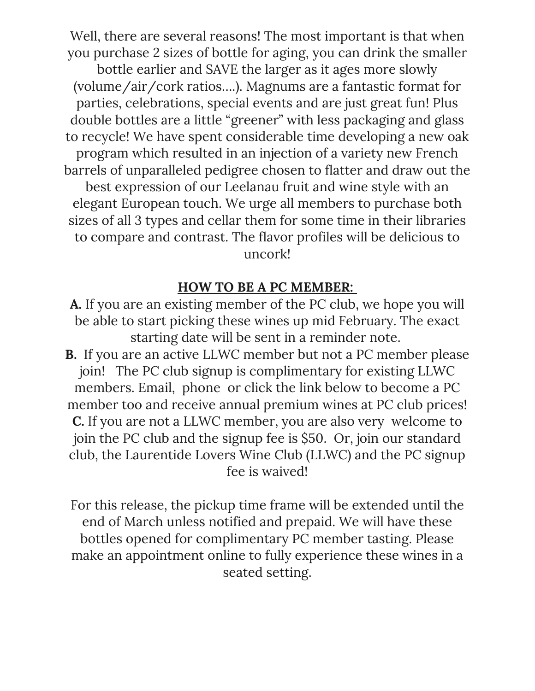Well, there are several reasons! The most important is that when you purchase 2 sizes of bottle for aging, you can drink the smaller bottle earlier and SAVE the larger as it ages more slowly (volume/air/cork ratios….). Magnums are a fantastic format for parties, celebrations, special events and are just great fun! Plus double bottles are a little "greener" with less packaging and glass to recycle! We have spent considerable time developing a new oak program which resulted in an injection of a variety new French barrels of unparalleled pedigree chosen to flatter and draw out the best expression of our Leelanau fruit and wine style with an elegant European touch. We urge all members to purchase both sizes of all 3 types and cellar them for some time in their libraries to compare and contrast. The flavor profiles will be delicious to uncork!

### **HOW TO BE A PC MEMBER:**

**A.** If you are an existing member of the PC club, we hope you will be able to start picking these wines up mid February. The exact starting date will be sent in a reminder note.

**B.** If you are an active LLWC member but not a PC member please join! The PC club signup is complimentary for existing LLWC members. Email, phone or click the link below to become a PC member too and receive annual premium wines at PC club prices! **C.** If you are not a LLWC member, you are also very welcome to join the PC club and the signup fee is \$50. Or, join our standard club, the Laurentide Lovers Wine Club (LLWC) and the PC signup fee is waived!

For this release, the pickup time frame will be extended until the end of March unless notified and prepaid. We will have these bottles opened for complimentary PC member tasting. Please make an appointment online to fully experience these wines in a seated setting.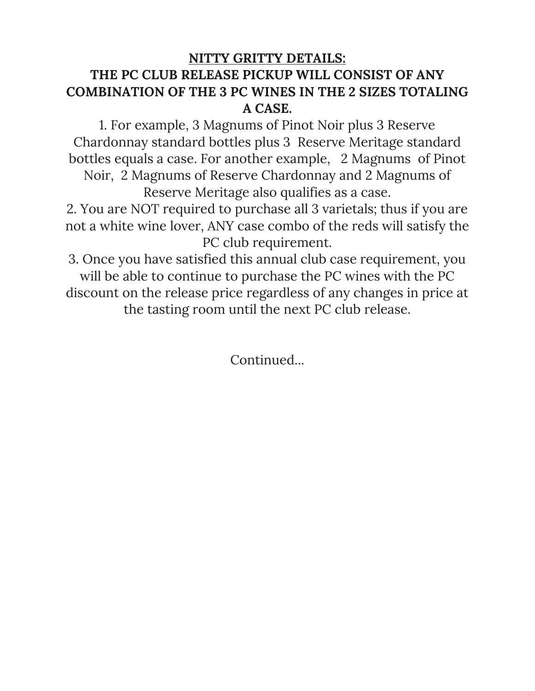## **NITTY GRITTY DETAILS: THE PC CLUB RELEASE PICKUP WILL CONSIST OF ANY COMBINATION OF THE 3 PC WINES IN THE 2 SIZES TOTALING A CASE.**

1. For example, 3 Magnums of Pinot Noir plus 3 Reserve Chardonnay standard bottles plus 3 Reserve Meritage standard bottles equals a case. For another example, 2 Magnums of Pinot Noir, 2 Magnums of Reserve Chardonnay and 2 Magnums of Reserve Meritage also qualifies as a case.

2. You are NOT required to purchase all 3 varietals; thus if you are not a white wine lover, ANY case combo of the reds will satisfy the PC club requirement.

3. Once you have satisfied this annual club case requirement, you will be able to continue to purchase the PC wines with the PC discount on the release price regardless of any changes in price at the tasting room until the next PC club release.

Continued...